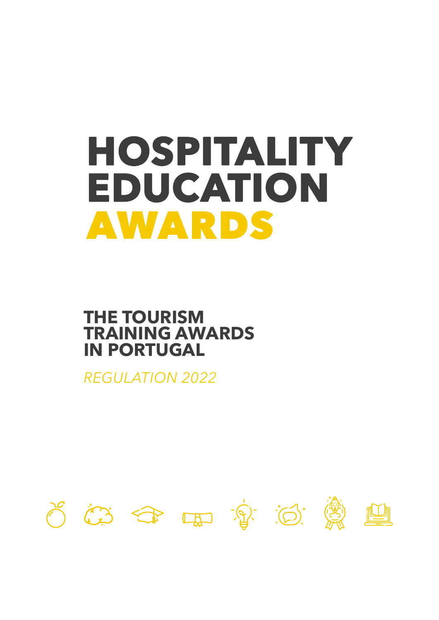# **HOSPITALITY** EDUCATION **AWARDS**

# **THE TOURISM TRAINING AWARDS IN PORTUGAL**

*REGULATION 2022*

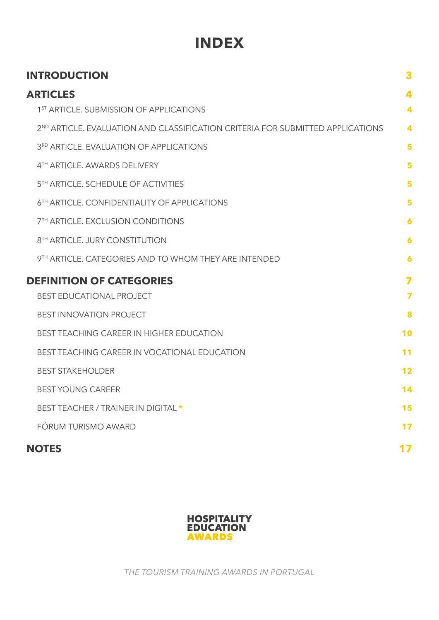# **INDEX**

<span id="page-1-0"></span>

| <b>INTRODUCTION</b>                                                                        | 3                       |
|--------------------------------------------------------------------------------------------|-------------------------|
| <b>ARTICLES</b>                                                                            | 4                       |
| 1 <sup>ST</sup> ARTICLE. SUBMISSION OF APPLICATIONS                                        | 4                       |
| 2 <sup>ND</sup> ARTICLE, EVALUATION AND CLASSIFICATION CRITERIA FOR SUBMITTED APPLICATIONS | 4                       |
| 3RD ARTICLE. EVALUATION OF APPLICATIONS                                                    | 5                       |
| 4TH ARTICLE, AWARDS DELIVERY                                                               | 5                       |
| 5TH ARTICLE. SCHEDULE OF ACTIVITIES                                                        | 5                       |
| 6TH ARTICLE, CONFIDENTIALITY OF APPLICATIONS                                               | 5                       |
| 7TH ARTICLE. EXCLUSION CONDITIONS                                                          | 6                       |
| 8TH ARTICLE. JURY CONSTITUTION                                                             | 6                       |
| 9TH ARTICLE, CATEGORIES AND TO WHOM THEY ARE INTENDED                                      | $\boldsymbol{6}$        |
| <b>DEFINITION OF CATEGORIES</b>                                                            | 7                       |
| <b>BEST EDUCATIONAL PROJECT</b>                                                            | $\overline{\mathbf{z}}$ |
| <b>BEST INNOVATION PROJECT</b>                                                             | 8                       |
| <b>BEST TEACHING CAREER IN HIGHER EDUCATION</b>                                            | 10                      |
| BEST TEACHING CAREER IN VOCATIONAL EDUCATION                                               | 11                      |
| <b>BEST STAKEHOLDER</b>                                                                    | 12                      |
| <b>BEST YOUNG CAREER</b>                                                                   | 14                      |
| BEST TEACHER / TRAINER IN DIGITAL *                                                        | 15                      |
| FÓRUM TURISMO AWARD                                                                        | 17                      |
| <b>NOTES</b>                                                                               | 17                      |



*THE TOURISM TRAINING AWARDS IN PORTUGAL*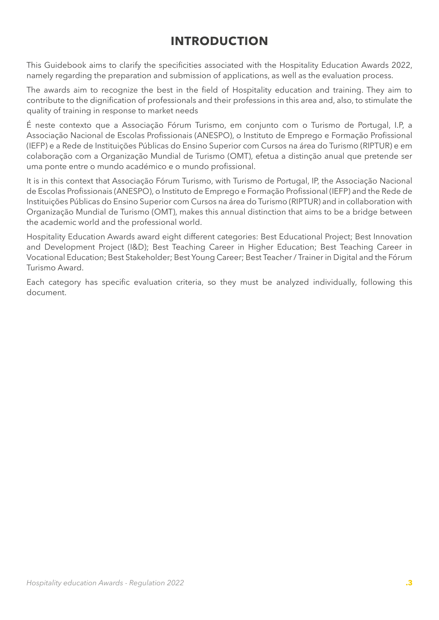# **INTRODUCTION**

<span id="page-2-0"></span>This Guidebook aims to clarify the specificities associated with the Hospitality Education Awards 2022, namely regarding the preparation and submission of applications, as well as the evaluation process.

The awards aim to recognize the best in the field of Hospitality education and training. They aim to contribute to the dignification of professionals and their professions in this area and, also, to stimulate the quality of training in response to market needs

É neste contexto que a Associação Fórum Turismo, em conjunto com o Turismo de Portugal, I.P, a Associação Nacional de Escolas Profissionais (ANESPO), o Instituto de Emprego e Formação Profissional (IEFP) e a Rede de Instituições Públicas do Ensino Superior com Cursos na área do Turismo (RIPTUR) e em colaboração com a Organização Mundial de Turismo (OMT), efetua a distinção anual que pretende ser uma ponte entre o mundo académico e o mundo profissional.

It is in this context that Associação Fórum Turismo, with Turismo de Portugal, IP, the Associação Nacional de Escolas Profissionais (ANESPO), o Instituto de Emprego e Formação Profissional (IEFP) and the Rede de Instituições Públicas do Ensino Superior com Cursos na área do Turismo (RIPTUR) and in collaboration with Organização Mundial de Turismo (OMT), makes this annual distinction that aims to be a bridge between the academic world and the professional world.

Hospitality Education Awards award eight different categories: Best Educational Project; Best Innovation and Development Project (I&D); Best Teaching Career in Higher Education; Best Teaching Career in Vocational Education; Best Stakeholder; Best Young Career; Best Teacher / Trainer in Digital and the Fórum Turismo Award.

Each category has specific evaluation criteria, so they must be analyzed individually, following this document.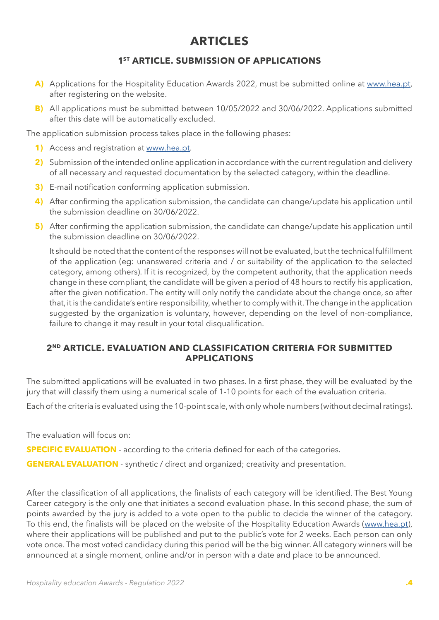# **ARTICLES**

# **1ST ARTICLE. SUBMISSION OF APPLICATIONS**

- <span id="page-3-0"></span>A) Applications for the Hospitality Education Awards 2022, must be submitted online at [www.hea.pt,](http://www.hea.pt) after registering on the website.
- **B)** All applications must be submitted between 10/05/2022 and 30/06/2022. Applications submitted after this date will be automatically excluded.

The application submission process takes place in the following phases:

- **1)** Access and registration at [www.hea.pt](http://www.hea.pt).
- **2)** Submission of the intended online application in accordance with the current regulation and delivery of all necessary and requested documentation by the selected category, within the deadline.
- **3)** E-mail notification conforming application submission.
- **4)** After confirming the application submission, the candidate can change/update his application until the submission deadline on 30/06/2022.
- **5)** After confirming the application submission, the candidate can change/update his application until the submission deadline on 30/06/2022.

It should be noted that the content of the responses will not be evaluated, but the technical fulfillment of the application (eg: unanswered criteria and / or suitability of the application to the selected category, among others). If it is recognized, by the competent authority, that the application needs change in these compliant, the candidate will be given a period of 48 hours to rectify his application, after the given notification. The entity will only notify the candidate about the change once, so after that, it is the candidate's entire responsibility, whether to comply with it. The change in the application suggested by the organization is voluntary, however, depending on the level of non-compliance, failure to change it may result in your total disqualification.

## **2ND ARTICLE. EVALUATION AND CLASSIFICATION CRITERIA FOR SUBMITTED APPLICATIONS**

The submitted applications will be evaluated in two phases. In a first phase, they will be evaluated by the jury that will classify them using a numerical scale of 1-10 points for each of the evaluation criteria.

Each of the criteria is evaluated using the 10-point scale, with only whole numbers (without decimal ratings).

The evaluation will focus on:

**SPECIFIC EVALUATION** - according to the criteria defined for each of the categories.

**GENERAL EVALUATION** - synthetic / direct and organized; creativity and presentation.

After the classification of all applications, the finalists of each category will be identified. The Best Young Career category is the only one that initiates a second evaluation phase. In this second phase, the sum of points awarded by the jury is added to a vote open to the public to decide the winner of the category. To this end, the finalists will be placed on the website of the Hospitality Education Awards ([www.hea.pt](https://www.hea.pt)), where their applications will be published and put to the public's vote for 2 weeks. Each person can only vote once. The most voted candidacy during this period will be the big winner. All category winners will be announced at a single moment, online and/or in person with a date and place to be announced.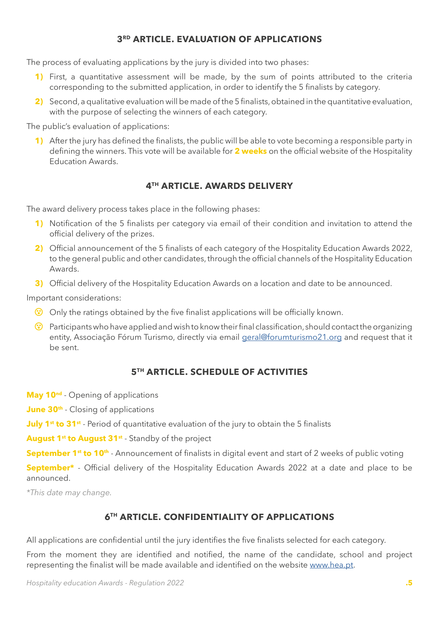# **3RD ARTICLE. EVALUATION OF APPLICATIONS**

<span id="page-4-0"></span>The process of evaluating applications by the jury is divided into two phases:

- 1) First, a quantitative assessment will be made, by the sum of points attributed to the criteria corresponding to the submitted application, in order to identify the 5 finalists by category.
- **2)** Second, a qualitative evaluation will be made of the 5 finalists, obtained in the quantitative evaluation, with the purpose of selecting the winners of each category.

The public's evaluation of applications:

**1)** After the jury has defined the finalists, the public will be able to vote becoming a responsible party in defining the winners. This vote will be available for **2 weeks** on the official website of the Hospitality Education Awards.

# **4TH ARTICLE. AWARDS DELIVERY**

The award delivery process takes place in the following phases:

- **1)** Notification of the 5 finalists per category via email of their condition and invitation to attend the official delivery of the prizes.
- **2)** Official announcement of the 5 finalists of each category of the Hospitality Education Awards 2022, to the general public and other candidates, through the official channels of the Hospitality Education Awards.
- **3)** Official delivery of the Hospitality Education Awards on a location and date to be announced.

Important considerations:

- **(3)** Only the ratings obtained by the five finalist applications will be officially known.
- $\odot$  Participants who have applied and wish to know their final classification, should contact the organizing entity, Associação Fórum Turismo, directly via email [geral@forumturismo21.org](mailto:geral%40forumturismo21.org?subject=) and request that it be sent.

## **5TH ARTICLE. SCHEDULE OF ACTIVITIES**

**May 10<sup>nd</sup>** - Opening of applications

**June 30<sup>th</sup>** - Closing of applications

**July 1<sup>st</sup> to 31<sup>st</sup>** - Period of quantitative evaluation of the jury to obtain the 5 finalists

August 1<sup>st</sup> to August 31<sup>st</sup> - Standby of the project

**September 1<sup>st</sup> to 10<sup>th</sup>** - Announcement of finalists in digital event and start of 2 weeks of public voting

**September\*** - Official delivery of the Hospitality Education Awards 2022 at a date and place to be announced.

*\*This date may change.*

# **6TH ARTICLE. CONFIDENTIALITY OF APPLICATIONS**

All applications are confidential until the jury identifies the five finalists selected for each category.

From the moment they are identified and notified, the name of the candidate, school and project representing the finalist will be made available and identified on the website [www.hea.pt](https://www.hea.pt).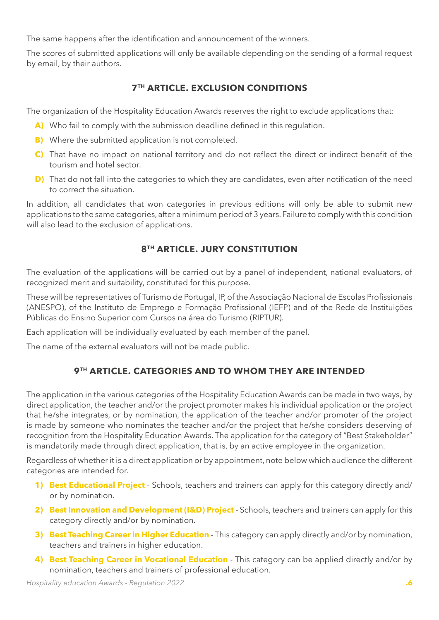<span id="page-5-0"></span>The same happens after the identification and announcement of the winners.

The scores of submitted applications will only be available depending on the sending of a formal request by email, by their authors.

# **7TH ARTICLE. EXCLUSION CONDITIONS**

The organization of the Hospitality Education Awards reserves the right to exclude applications that:

- **A)** Who fail to comply with the submission deadline defined in this regulation.
- **B)** Where the submitted application is not completed.
- **C)** That have no impact on national territory and do not reflect the direct or indirect benefit of the tourism and hotel sector.
- **D)** That do not fall into the categories to which they are candidates, even after notification of the need to correct the situation.

In addition, all candidates that won categories in previous editions will only be able to submit new applications to the same categories, after a minimum period of 3 years. Failure to comply with this condition will also lead to the exclusion of applications.

# **8TH ARTICLE. JURY CONSTITUTION**

The evaluation of the applications will be carried out by a panel of independent, national evaluators, of recognized merit and suitability, constituted for this purpose.

These will be representatives of Turismo de Portugal, IP, of the Associação Nacional de Escolas Profissionais (ANESPO), of the Instituto de Emprego e Formação Profissional (IEFP) and of the Rede de Instituições Públicas do Ensino Superior com Cursos na área do Turismo (RIPTUR).

Each application will be individually evaluated by each member of the panel.

The name of the external evaluators will not be made public.

# **9TH ARTICLE. CATEGORIES AND TO WHOM THEY ARE INTENDED**

The application in the various categories of the Hospitality Education Awards can be made in two ways, by direct application, the teacher and/or the project promoter makes his individual application or the project that he/she integrates, or by nomination, the application of the teacher and/or promoter of the project is made by someone who nominates the teacher and/or the project that he/she considers deserving of recognition from the Hospitality Education Awards. The application for the category of "Best Stakeholder" is mandatorily made through direct application, that is, by an active employee in the organization.

Regardless of whether it is a direct application or by appointment, note below which audience the different categories are intended for.

- **1) Best Educational Project** Schools, teachers and trainers can apply for this category directly and/ or by nomination.
- **2) Best Innovation and Development (I&D) Project** Schools, teachers and trainers can apply for this category directly and/or by nomination.
- **3) Best Teaching Career in Higher Education** This category can apply directly and/or by nomination, teachers and trainers in higher education.
- **4) Best Teaching Career in Vocational Education** This category can be applied directly and/or by nomination, teachers and trainers of professional education.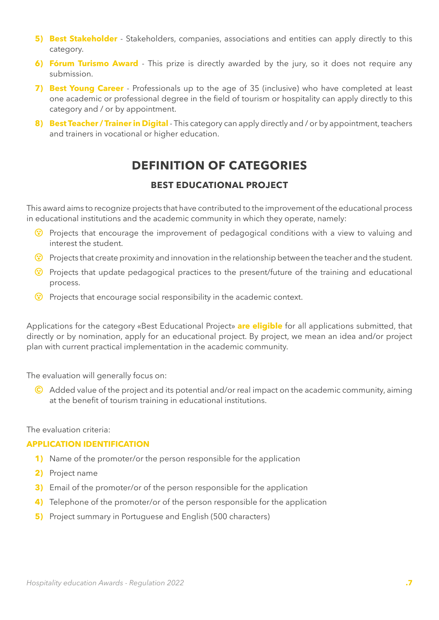- <span id="page-6-0"></span>**5) Best Stakeholder** - Stakeholders, companies, associations and entities can apply directly to this category.
- **6) Fórum Turismo Award** This prize is directly awarded by the jury, so it does not require any submission.
- **7) Best Young Career** Professionals up to the age of 35 (inclusive) who have completed at least one academic or professional degree in the field of tourism or hospitality can apply directly to this category and / or by appointment.
- **8) Best Teacher / Trainer in Digital** This category can apply directly and / or by appointment, teachers and trainers in vocational or higher education.

# **DEFINITION OF CATEGORIES**

## **BEST EDUCATIONAL PROJECT**

This award aims to recognize projects that have contributed to the improvement of the educational process in educational institutions and the academic community in which they operate, namely:

- **(3)** Projects that encourage the improvement of pedagogical conditions with a view to valuing and interest the student.
- **(** $\bullet$ **)** Projects that create proximity and innovation in the relationship between the teacher and the student.
- $\bullet$  Projects that update pedagogical practices to the present/future of the training and educational process.
- **(3)** Projects that encourage social responsibility in the academic context.

Applications for the category «Best Educational Project» **are eligible** for all applications submitted, that directly or by nomination, apply for an educational project. By project, we mean an idea and/or project plan with current practical implementation in the academic community.

The evaluation will generally focus on:

C Added value of the project and its potential and/or real impact on the academic community, aiming at the benefit of tourism training in educational institutions.

The evaluation criteria:

#### **APPLICATION IDENTIFICATION**

- **1)** Name of the promoter/or the person responsible for the application
- **2)** Project name
- **3)** Email of the promoter/or of the person responsible for the application
- **4)** Telephone of the promoter/or of the person responsible for the application
- **5)** Project summary in Portuguese and English (500 characters)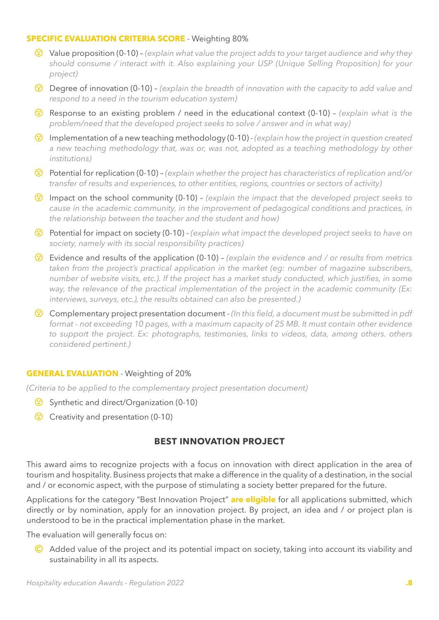#### <span id="page-7-0"></span>**SPECIFIC EVALUATION CRITERIA SCORE** - Weighting 80%

- { Value proposition (0-10) *(explain what value the project adds to your target audience and why they should consume / interact with it. Also explaining your USP (Unique Selling Proposition) for your project)*
- { Degree of innovation (0-10) *(explain the breadth of innovation with the capacity to add value and respond to a need in the tourism education system)*
- { Response to an existing problem / need in the educational context (0-10) *(explain what is the problem/need that the developed project seeks to solve / answer and in what way)*
- { Implementation of a new teaching methodology (0-10) *(explain how the project in question created a new teaching methodology that, was or, was not, adopted as a teaching methodology by other institutions)*
- { Potential for replication (0-10) *(explain whether the project has characteristics of replication and/or transfer of results and experiences, to other entities, regions, countries or sectors of activity)*
- { Impact on the school community (0-10) *(explain the impact that the developed project seeks to cause in the academic community, in the improvement of pedagogical conditions and practices, in the relationship between the teacher and the student and how)*
- { Potential for impact on society (0-10) *(explain what impact the developed project seeks to have on society, namely with its social responsibility practices)*
- { Evidence and results of the application (0-10) *(explain the evidence and / or results from metrics taken from the project's practical application in the market (eg: number of magazine subscribers, number of website visits, etc.). If the project has a market study conducted, which justifies, in some way, the relevance of the practical implementation of the project in the academic community (Ex: interviews, surveys, etc.), the results obtained can also be presented.)*
- { Complementary project presentation document - *(In this field, a document must be submitted in pdf format - not exceeding 10 pages, with a maximum capacity of 25 MB. It must contain other evidence to support the project. Ex: photographs, testimonies, links to videos, data, among others. others considered pertinent.)*

#### **GENERAL EVALUATION** - Weighting of 20%

*(Criteria to be applied to the complementary project presentation document)*

- **Synthetic and direct/Organization (0-10)**
- Creativity and presentation (0-10)

## **BEST INNOVATION PROJECT**

This award aims to recognize projects with a focus on innovation with direct application in the area of tourism and hospitality. Business projects that make a difference in the quality of a destination, in the social and / or economic aspect, with the purpose of stimulating a society better prepared for the future.

Applications for the category "Best Innovation Project" **are eligible** for all applications submitted, which directly or by nomination, apply for an innovation project. By project, an idea and / or project plan is understood to be in the practical implementation phase in the market.

The evaluation will generally focus on:

C Added value of the project and its potential impact on society, taking into account its viability and sustainability in all its aspects.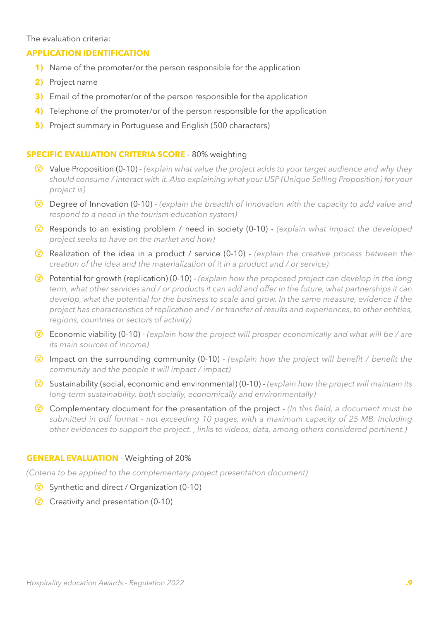#### The evaluation criteria:

#### **APPLICATION IDENTIFICATION**

- **1)** Name of the promoter/or the person responsible for the application
- **2)** Project name
- **3)** Email of the promoter/or of the person responsible for the application
- **4)** Telephone of the promoter/or of the person responsible for the application
- **5)** Project summary in Portuguese and English (500 characters)

#### **SPECIFIC EVALUATION CRITERIA SCORE** - 80% weighting

- { Value Proposition (0-10) *(explain what value the project adds to your target audience and why they should consume / interact with it. Also explaining what your USP (Unique Selling Proposition) for your project is)*
- { Degree of Innovation (0-10) *(explain the breadth of Innovation with the capacity to add value and respond to a need in the tourism education system)*
- { Responds to an existing problem / need in society (0-10) *(explain what impact the developed project seeks to have on the market and how)*
- { Realization of the idea in a product / service (0-10) *(explain the creative process between the creation of the idea and the materialization of it in a product and / or service)*
- { Potential for growth (replication) (0-10) *(explain how the proposed project can develop in the long term, what other services and / or products it can add and offer in the future, what partnerships it can develop, what the potential for the business to scale and grow. In the same measure, evidence if the project has characteristics of replication and / or transfer of results and experiences, to other entities, regions, countries or sectors of activity)*
- { Economic viability (0-10) - *(explain how the project will prosper economically and what will be / are its main sources of income)*
- { Impact on the surrounding community (0-10) *(explain how the project will benefit / benefit the community and the people it will impact / impact)*
- { Sustainability (social, economic and environmental) (0-10) *(explain how the project will maintain its long-term sustainability, both socially, economically and environmentally)*
- { Complementary document for the presentation of the project *(In this field, a document must be submitted in pdf format - not exceeding 10 pages, with a maximum capacity of 25 MB. Including other evidences to support the project. , links to videos, data, among others considered pertinent.)*

#### **GENERAL EVALUATION** - Weighting of 20%

*(Criteria to be applied to the complementary project presentation document)*

- Synthetic and direct / Organization (0-10)
- Creativity and presentation (0-10)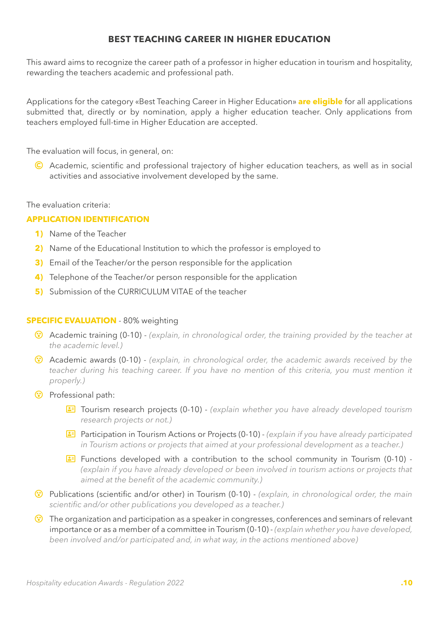### **BEST TEACHING CAREER IN HIGHER EDUCATION**

<span id="page-9-0"></span>This award aims to recognize the career path of a professor in higher education in tourism and hospitality, rewarding the teachers academic and professional path.

Applications for the category «Best Teaching Career in Higher Education» **are eligible** for all applications submitted that, directly or by nomination, apply a higher education teacher. Only applications from teachers employed full-time in Higher Education are accepted.

The evaluation will focus, in general, on:

C Academic, scientific and professional trajectory of higher education teachers, as well as in social activities and associative involvement developed by the same.

#### The evaluation criteria:

#### **APPLICATION IDENTIFICATION**

- **1)** Name of the Teacher
- **2)** Name of the Educational Institution to which the professor is employed to
- **3)** Email of the Teacher/or the person responsible for the application
- **4)** Telephone of the Teacher/or person responsible for the application
- **5)** Submission of the CURRICULUM VITAE of the teacher

#### **SPECIFIC EVALUATION** - 80% weighting

- { Academic training (0-10) *(explain, in chronological order, the training provided by the teacher at the academic level.)*
- { Academic awards (0-10) *(explain, in chronological order, the academic awards received by the teacher during his teaching career. If you have no mention of this criteria, you must mention it properly.)*
- $\circled{ }$  Professional path:
	- f Tourism research projects (0-10) *(explain whether you have already developed tourism research projects or not.)*
	- f Participation in Tourism Actions or Projects (0-10) *(explain if you have already participated in Tourism actions or projects that aimed at your professional development as a teacher.)*
	- **E** Functions developed with a contribution to the school community in Tourism (0-10) -*(explain if you have already developed or been involved in tourism actions or projects that aimed at the benefit of the academic community.)*
- { Publications (scientific and/or other) in Tourism (0-10) *(explain, in chronological order, the main scientific and/or other publications you developed as a teacher.)*
- <sup>(3)</sup> The organization and participation as a speaker in congresses, conferences and seminars of relevant importance or as a member of a committee in Tourism (0-10) - *(explain whether you have developed, been involved and/or participated and, in what way, in the actions mentioned above)*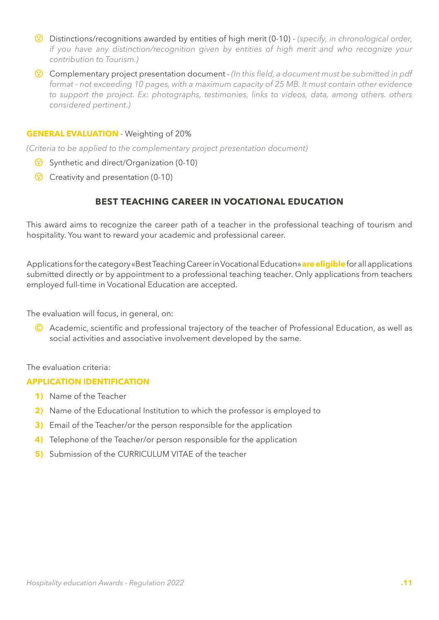- <span id="page-10-0"></span>{ Distinctions/recognitions awarded by entities of high merit (0-10) - *(specify, in chronological order, if you have any distinction/recognition given by entities of high merit and who recognize your contribution to Tourism.)*
- { Complementary project presentation document *(In this field, a document must be submitted in pdf format - not exceeding 10 pages, with a maximum capacity of 25 MB. It must contain other evidence to support the project. Ex: photographs, testimonies, links to videos, data, among others. others considered pertinent.)*

#### **GENERAL EVALUATION** - Weighting of 20%

*(Criteria to be applied to the complementary project presentation document)*

- Synthetic and direct/Organization (0-10)
- Creativity and presentation (0-10)

## **BEST TEACHING CAREER IN VOCATIONAL EDUCATION**

This award aims to recognize the career path of a teacher in the professional teaching of tourism and hospitality. You want to reward your academic and professional career.

Applications for the category «Best Teaching Career in Vocational Education» **are eligible** for all applications submitted directly or by appointment to a professional teaching teacher. Only applications from teachers employed full-time in Vocational Education are accepted.

The evaluation will focus, in general, on:

C Academic, scientific and professional trajectory of the teacher of Professional Education, as well as social activities and associative involvement developed by the same.

#### The evaluation criteria:

#### **APPLICATION IDENTIFICATION**

- **1)** Name of the Teacher
- **2)** Name of the Educational Institution to which the professor is employed to
- **3)** Email of the Teacher/or the person responsible for the application
- **4)** Telephone of the Teacher/or person responsible for the application
- **5)** Submission of the CURRICULUM VITAE of the teacher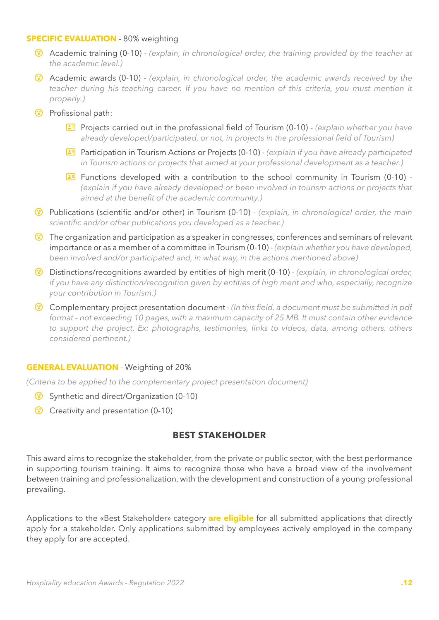#### <span id="page-11-0"></span>**SPECIFIC EVALUATION** - 80% weighting

- { Academic training (0-10) *(explain, in chronological order, the training provided by the teacher at the academic level.)*
- { Academic awards (0-10) *(explain, in chronological order, the academic awards received by the*  teacher during his teaching career. If you have no mention of this criteria, you must mention it *properly.)*
- **(3)** Profissional path:
	- **E** Projects carried out in the professional field of Tourism (0-10) *(explain whether you have already developed/participated, or not, in projects in the professional field of Tourism)*
	- **E** Participation in Tourism Actions or Projects (0-10) *(explain if you have already participated in Tourism actions or projects that aimed at your professional development as a teacher.)*
	- **E** Functions developed with a contribution to the school community in Tourism (0-10) -*(explain if you have already developed or been involved in tourism actions or projects that aimed at the benefit of the academic community.)*
- { Publications (scientific and/or other) in Tourism (0-10) *(explain, in chronological order, the main scientific and/or other publications you developed as a teacher.)*
- The organization and participation as a speaker in congresses, conferences and seminars of relevant importance or as a member of a committee in Tourism (0-10) - *(explain whether you have developed, been involved and/or participated and, in what way, in the actions mentioned above)*
- { Distinctions/recognitions awarded by entities of high merit (0-10) *(explain, in chronological order, if you have any distinction/recognition given by entities of high merit and who, especially, recognize your contribution in Tourism.)*
- { Complementary project presentation document *(In this field, a document must be submitted in pdf format - not exceeding 10 pages, with a maximum capacity of 25 MB. It must contain other evidence to support the project. Ex: photographs, testimonies, links to videos, data, among others. others considered pertinent.)*

#### **GENERAL EVALUATION** - Weighting of 20%

*(Criteria to be applied to the complementary project presentation document)*

- Synthetic and direct/Organization (0-10)
- Creativity and presentation (0-10)

#### **BEST STAKEHOLDER**

This award aims to recognize the stakeholder, from the private or public sector, with the best performance in supporting tourism training. It aims to recognize those who have a broad view of the involvement between training and professionalization, with the development and construction of a young professional prevailing.

Applications to the «Best Stakeholder» category **are eligible** for all submitted applications that directly apply for a stakeholder. Only applications submitted by employees actively employed in the company they apply for are accepted.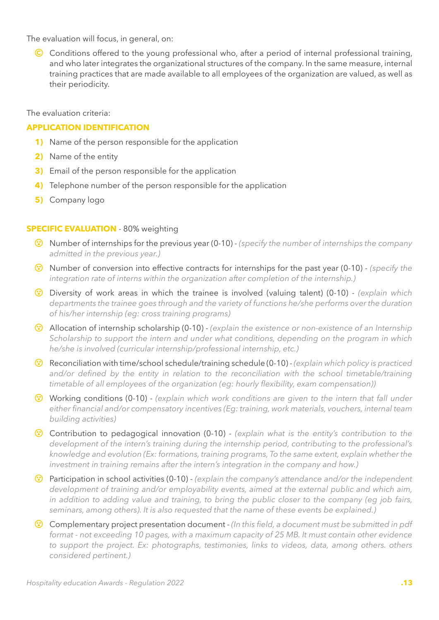The evaluation will focus, in general, on:

C Conditions offered to the young professional who, after a period of internal professional training, and who later integrates the organizational structures of the company. In the same measure, internal training practices that are made available to all employees of the organization are valued, as well as their periodicity.

The evaluation criteria:

#### **APPLICATION IDENTIFICATION**

- **1)** Name of the person responsible for the application
- **2)** Name of the entity
- **3)** Email of the person responsible for the application
- **4)** Telephone number of the person responsible for the application
- **5)** Company logo

#### **SPECIFIC EVALUATION** - 80% weighting

- { Number of internships for the previous year (0-10) *(specify the number of internships the company admitted in the previous year.)*
- { Number of conversion into effective contracts for internships for the past year (0-10) *(specify the integration rate of interns within the organization after completion of the internship.)*
- { Diversity of work areas in which the trainee is involved (valuing talent) (0-10) *(explain which departments the trainee goes through and the variety of functions he/she performs over the duration of his/her internship (eg: cross training programs)*
- { Allocation of internship scholarship (0-10) *(explain the existence or non-existence of an Internship Scholarship to support the intern and under what conditions, depending on the program in which he/she is involved (curricular internship/professional internship, etc.)*
- { Reconciliation with time/school schedule/training schedule (0-10) *(explain which policy is practiced*  and/or defined by the entity in relation to the reconciliation with the school timetable/training *timetable of all employees of the organization (eg: hourly flexibility, exam compensation))*
- { Working conditions (0-10) *(explain which work conditions are given to the intern that fall under either financial and/or compensatory incentives (Eg: training, work materials, vouchers, internal team building activities)*
- { Contribution to pedagogical innovation (0-10) *(explain what is the entity's contribution to the development of the intern's training during the internship period, contributing to the professional's knowledge and evolution (Ex: formations, training programs, To the same extent, explain whether the investment in training remains after the intern's integration in the company and how.)*
- { Participation in school activities (0-10) *(explain the company's attendance and/or the independent development of training and/or employability events, aimed at the external public and which aim, in addition to adding value and training, to bring the public closer to the company (eg job fairs, seminars, among others). It is also requested that the name of these events be explained.)*
- { Complementary project presentation document *(In this field, a document must be submitted in pdf format - not exceeding 10 pages, with a maximum capacity of 25 MB. It must contain other evidence*  to support the project. Ex: photographs, testimonies, links to videos, data, among others, others *considered pertinent.)*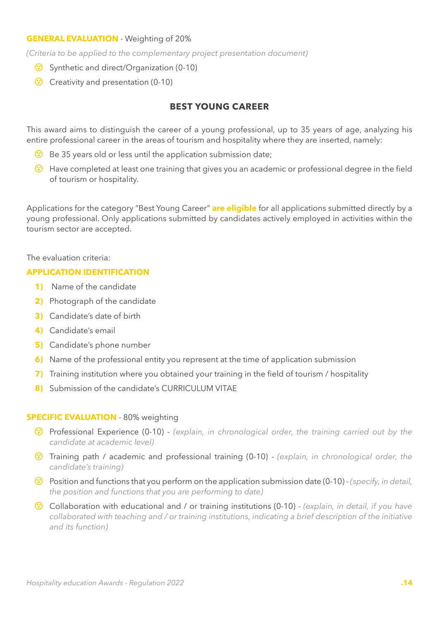#### <span id="page-13-0"></span>**GENERAL EVALUATION** - Weighting of 20%

*(Criteria to be applied to the complementary project presentation document)*

- Synthetic and direct/Organization (0-10)
- **(3)** Creativity and presentation (0-10)

#### **BEST YOUNG CAREER**

This award aims to distinguish the career of a young professional, up to 35 years of age, analyzing his entire professional career in the areas of tourism and hospitality where they are inserted, namely:

- **Be 35 years old or less until the application submission date;**
- { Have completed at least one training that gives you an academic or professional degree in the field of tourism or hospitality.

Applications for the category "Best Young Career" **are eligible** for all applications submitted directly by a young professional. Only applications submitted by candidates actively employed in activities within the tourism sector are accepted.

#### The evaluation criteria:

#### **APPLICATION IDENTIFICATION**

- **1)** Name of the candidate
- **2)** Photograph of the candidate
- **3)** Candidate's date of birth
- **4)** Candidate's email
- **5)** Candidate's phone number
- **6)** Name of the professional entity you represent at the time of application submission
- **7)** Training institution where you obtained your training in the field of tourism / hospitality
- 8) Submission of the candidate's CURRICULUM VITAE

#### **SPECIFIC EVALUATION** - 80% weighting

- { Professional Experience (0-10) *(explain, in chronological order, the training carried out by the candidate at academic level)*
- { Training path / academic and professional training (0-10) *(explain, in chronological order, the candidate's training)*
- { Position and functions that you perform on the application submission date (0-10) *(specify, in detail, the position and functions that you are performing to date)*
- { Collaboration with educational and / or training institutions (0-10) *(explain, in detail, if you have collaborated with teaching and / or training institutions, indicating a brief description of the initiative and its function)*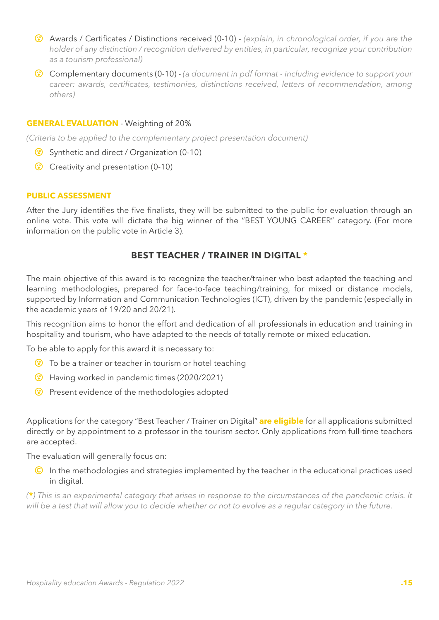- <span id="page-14-0"></span>{ Awards / Certificates / Distinctions received (0-10) - *(explain, in chronological order, if you are the holder of any distinction / recognition delivered by entities, in particular, recognize your contribution as a tourism professional)*
- { Complementary documents (0-10) *(a document in pdf format including evidence to support your career: awards, certificates, testimonies, distinctions received, letters of recommendation, among others)*

#### **GENERAL EVALUATION** - Weighting of 20%

*(Criteria to be applied to the complementary project presentation document)*

- Synthetic and direct / Organization (0-10)
- Creativity and presentation (0-10)

#### **PUBLIC ASSESSMENT**

After the Jury identifies the five finalists, they will be submitted to the public for evaluation through an online vote. This vote will dictate the big winner of the "BEST YOUNG CAREER" category. (For more information on the public vote in Article 3).

# **BEST TEACHER / TRAINER IN DIGITAL \***

The main objective of this award is to recognize the teacher/trainer who best adapted the teaching and learning methodologies, prepared for face-to-face teaching/training, for mixed or distance models, supported by Information and Communication Technologies (ICT), driven by the pandemic (especially in the academic years of 19/20 and 20/21).

This recognition aims to honor the effort and dedication of all professionals in education and training in hospitality and tourism, who have adapted to the needs of totally remote or mixed education.

To be able to apply for this award it is necessary to:

- **(** $\bullet$ **)** To be a trainer or teacher in tourism or hotel teaching
- Having worked in pandemic times (2020/2021)
- **(\*)** Present evidence of the methodologies adopted

Applications for the category "Best Teacher / Trainer on Digital" **are eligible** for all applications submitted directly or by appointment to a professor in the tourism sector. Only applications from full-time teachers are accepted.

The evaluation will generally focus on:

C In the methodologies and strategies implemented by the teacher in the educational practices used in digital.

*(***\****) This is an experimental category that arises in response to the circumstances of the pandemic crisis. It will be a test that will allow you to decide whether or not to evolve as a regular category in the future.*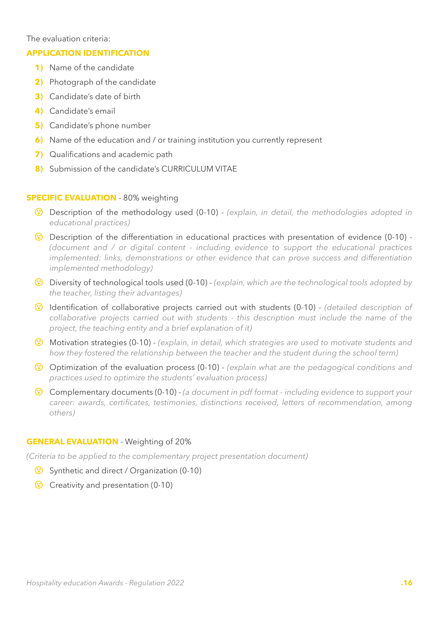The evaluation criteria:

#### **APPLICATION IDENTIFICATION**

- **1)** Name of the candidate
- **2)** Photograph of the candidate
- **3)** Candidate's date of birth
- **4)** Candidate's email
- **5)** Candidate's phone number
- **6)** Name of the education and / or training institution you currently represent
- **7)** Qualifications and academic path
- **8)** Submission of the candidate's CURRICULUM VITAE

#### **SPECIFIC EVALUATION** - 80% weighting

- { Description of the methodology used (0-10) *(explain, in detail, the methodologies adopted in educational practices)*
- { Description of the differentiation in educational practices with presentation of evidence (0-10) *(document and / or digital content - including evidence to support the educational practices implemented: links, demonstrations or other evidence that can prove success and differentiation implemented methodology)*
- { Diversity of technological tools used (0-10) *(explain, which are the technological tools adopted by the teacher, listing their advantages)*
- { Identification of collaborative projects carried out with students (0-10) *(detailed description of collaborative projects carried out with students - this description must include the name of the project, the teaching entity and a brief explanation of it)*
- { Motivation strategies (0-10) *(explain, in detail, which strategies are used to motivate students and how they fostered the relationship between the teacher and the student during the school term)*
- { Optimization of the evaluation process (0-10) *(explain what are the pedagogical conditions and practices used to optimize the students' evaluation process)*
- { Complementary documents (0-10) *(a document in pdf format including evidence to support your career: awards, certificates, testimonies, distinctions received, letters of recommendation, among others)*

#### **GENERAL EVALUATION** - Weighting of 20%

*(Criteria to be applied to the complementary project presentation document)*

- Synthetic and direct / Organization (0-10)
- Creativity and presentation (0-10)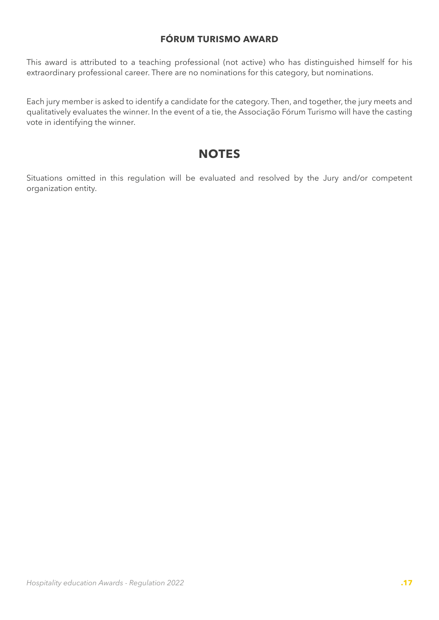# **FÓRUM TURISMO AWARD**

<span id="page-16-0"></span>This award is attributed to a teaching professional (not active) who has distinguished himself for his extraordinary professional career. There are no nominations for this category, but nominations.

Each jury member is asked to identify a candidate for the category. Then, and together, the jury meets and qualitatively evaluates the winner. In the event of a tie, the Associação Fórum Turismo will have the casting vote in identifying the winner.

# **NOTES**

Situations omitted in this regulation will be evaluated and resolved by the Jury and/or competent organization entity.